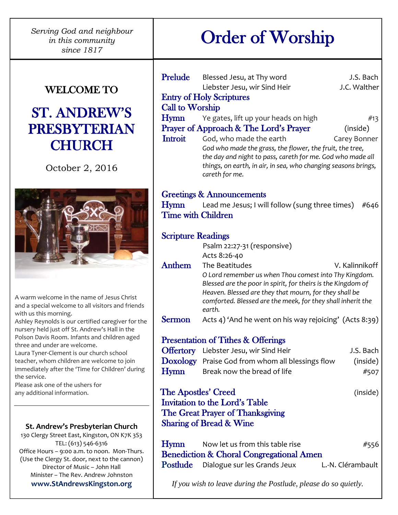*Serving God and neighbour in this community since 1817*

# WELCOME TO

# ST. ANDREW'S PRESBYTERIAN **CHURCH**

October 2, 2016



A warm welcome in the name of Jesus Christ and a special welcome to all visitors and friends with us this morning.

Ashley Reynolds is our certified caregiver for the nursery held just off St. Andrew's Hall in the Polson Davis Room. Infants and children aged three and under are welcome.

Laura Tyner-Clement is our church school teacher, whom children are welcome to join immediately after the 'Time for Children' during the service.

Please ask one of the ushers for any additional information.

j

#### **St. Andrew's Presbyterian Church**

130 Clergy Street East, Kingston, ON K7K 3S3 TEL: (613) 546-6316 Office Hours – 9:00 a.m. to noon. Mon-Thurs. (Use the Clergy St. door, next to the cannon) Director of Music – John Hall Minister – The Rev. Andrew Johnston **www.StAndrewsKingston.org**

Order of Worship

| Prelude                                                         | Blessed Jesu, at Thy word                                                                                                    | J.S. Bach         |  |  |
|-----------------------------------------------------------------|------------------------------------------------------------------------------------------------------------------------------|-------------------|--|--|
|                                                                 | Liebster Jesu, wir Sind Heir                                                                                                 | J.C. Walther      |  |  |
| <b>Entry of Holy Scriptures</b>                                 |                                                                                                                              |                   |  |  |
| <b>Call to Worship</b>                                          |                                                                                                                              |                   |  |  |
| Hymn                                                            | Ye gates, lift up your heads on high                                                                                         | #13               |  |  |
|                                                                 | Prayer of Approach & The Lord's Prayer                                                                                       | (inside)          |  |  |
| Introit                                                         | God, who made the earth                                                                                                      | Carey Bonner      |  |  |
|                                                                 | God who made the grass, the flower, the fruit, the tree,                                                                     |                   |  |  |
|                                                                 | the day and night to pass, careth for me. God who made all<br>things, on earth, in air, in sea, who changing seasons brings, |                   |  |  |
|                                                                 | careth for me.                                                                                                               |                   |  |  |
|                                                                 |                                                                                                                              |                   |  |  |
| <b>Greetings &amp; Announcements</b>                            |                                                                                                                              |                   |  |  |
| Hymn                                                            | Lead me Jesus; I will follow (sung three times)                                                                              | #646              |  |  |
| <b>Time with Children</b>                                       |                                                                                                                              |                   |  |  |
| <b>Scripture Readings</b>                                       |                                                                                                                              |                   |  |  |
|                                                                 | Psalm 22:27-31 (responsive)                                                                                                  |                   |  |  |
|                                                                 | Acts 8:26-40                                                                                                                 |                   |  |  |
| Anthem                                                          | The Beatitudes                                                                                                               | V. Kalinnikoff    |  |  |
|                                                                 | O Lord remember us when Thou comest into Thy Kingdom.                                                                        |                   |  |  |
|                                                                 | Blessed are the poor in spirit, for theirs is the Kingdom of<br>Heaven. Blessed are they that mourn, for they shall be       |                   |  |  |
|                                                                 | comforted. Blessed are the meek, for they shall inherit the                                                                  |                   |  |  |
|                                                                 | earth.                                                                                                                       |                   |  |  |
| Sermon                                                          | Acts 4) 'And he went on his way rejoicing' (Acts 8:39)                                                                       |                   |  |  |
| <b>Presentation of Tithes &amp; Offerings</b>                   |                                                                                                                              |                   |  |  |
|                                                                 | <b>Offertory</b> Liebster Jesu, wir Sind Heir                                                                                | J.S. Bach         |  |  |
|                                                                 | <b>Doxology</b> Praise God from whom all blessings flow                                                                      | (inside)          |  |  |
| Hymn                                                            | Break now the bread of life                                                                                                  | #507              |  |  |
|                                                                 |                                                                                                                              |                   |  |  |
| <b>The Apostles' Creed</b><br>(inside)                          |                                                                                                                              |                   |  |  |
| Invitation to the Lord's Table                                  |                                                                                                                              |                   |  |  |
| The Great Prayer of Thanksgiving                                |                                                                                                                              |                   |  |  |
| <b>Sharing of Bread &amp; Wine</b>                              |                                                                                                                              |                   |  |  |
|                                                                 |                                                                                                                              |                   |  |  |
| Hymn                                                            | Now let us from this table rise                                                                                              | #556              |  |  |
|                                                                 | <b>Benediction &amp; Choral Congregational Amen</b>                                                                          |                   |  |  |
| Postlude                                                        | Dialogue sur les Grands Jeux                                                                                                 | L.-N. Clérambault |  |  |
| If you wish to leave during the Postlude, please do so quietly. |                                                                                                                              |                   |  |  |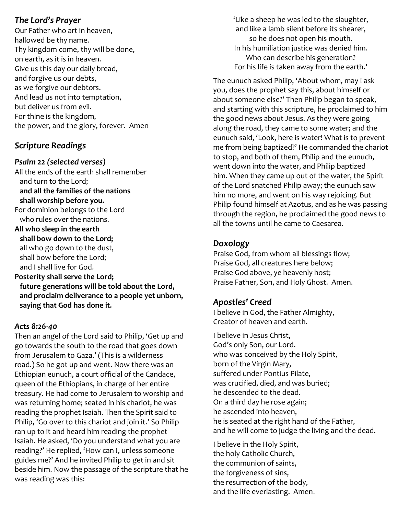## *The Lord's Prayer*

Our Father who art in heaven, hallowed be thy name. Thy kingdom come, thy will be done, on earth, as it is in heaven. Give us this day our daily bread, and forgive us our debts, as we forgive our debtors. And lead us not into temptation, but deliver us from evil. For thine is the kingdom, the power, and the glory, forever. Amen

## *Scripture Readings*

## *Psalm 22 (selected verses)*

All the ends of the earth shall remember and turn to the Lord;  **and all the families of the nations shall worship before you.** For dominion belongs to the Lord who rules over the nations.

- **All who sleep in the earth shall bow down to the Lord;** all who go down to the dust, shall bow before the Lord; and I shall live for God.
- **Posterity shall serve the Lord; future generations will be told about the Lord, and proclaim deliverance to a people yet unborn, saying that God has done it.**

## *Acts 8:26-40*

Then an angel of the Lord said to Philip, 'Get up and go towards the south to the road that goes down from Jerusalem to Gaza.' (This is a wilderness road.) So he got up and went. Now there was an Ethiopian eunuch, a court official of the Candace, queen of the Ethiopians, in charge of her entire treasury. He had come to Jerusalem to worship and was returning home; seated in his chariot, he was reading the prophet Isaiah. Then the Spirit said to Philip, 'Go over to this chariot and join it.' So Philip ran up to it and heard him reading the prophet Isaiah. He asked, 'Do you understand what you are reading?' He replied, 'How can I, unless someone guides me?' And he invited Philip to get in and sit beside him. Now the passage of the scripture that he was reading was this:

'Like a sheep he was led to the slaughter, and like a lamb silent before its shearer, so he does not open his mouth. In his humiliation justice was denied him. Who can describe his generation? For his life is taken away from the earth.'

The eunuch asked Philip, 'About whom, may I ask you, does the prophet say this, about himself or about someone else?' Then Philip began to speak, and starting with this scripture, he proclaimed to him the good news about Jesus. As they were going along the road, they came to some water; and the eunuch said, 'Look, here is water! What is to prevent me from being baptized?' He commanded the chariot to stop, and both of them, Philip and the eunuch, went down into the water, and Philip baptized him. When they came up out of the water, the Spirit of the Lord snatched Philip away; the eunuch saw him no more, and went on his way rejoicing. But Philip found himself at Azotus, and as he was passing through the region, he proclaimed the good news to all the towns until he came to Caesarea.

## *Doxology*

Praise God, from whom all blessings flow; Praise God, all creatures here below; Praise God above, ye heavenly host; Praise Father, Son, and Holy Ghost. Amen.

## *Apostles' Creed*

I believe in God, the Father Almighty, Creator of heaven and earth.

I believe in Jesus Christ, God's only Son, our Lord. who was conceived by the Holy Spirit, born of the Virgin Mary, suffered under Pontius Pilate, was crucified, died, and was buried; he descended to the dead. On a third day he rose again; he ascended into heaven, he is seated at the right hand of the Father, and he will come to judge the living and the dead.

I believe in the Holy Spirit, the holy Catholic Church, the communion of saints, the forgiveness of sins, the resurrection of the body, and the life everlasting. Amen.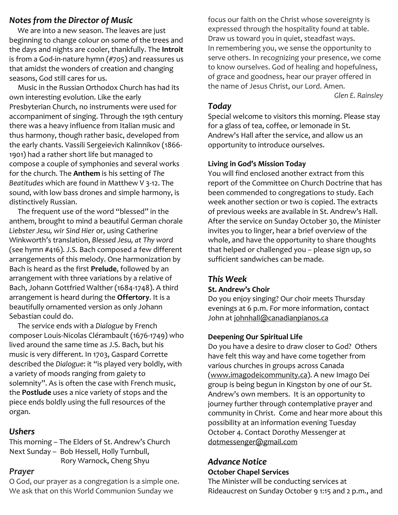## *Notes from the Director of Music*

 We are into a new season. The leaves are just beginning to change colour on some of the trees and the days and nights are cooler, thankfully. The **Introit** is from a God-in-nature hymn (#705) and reassures us that amidst the wonders of creation and changing seasons, God still cares for us.

 Music in the Russian Orthodox Church has had its own interesting evolution. Like the early Presbyterian Church, no instruments were used for accompaniment of singing. Through the 19th century there was a heavy influence from Italian music and thus harmony, though rather basic, developed from the early chants. Vassili Sergeievich Kalinnikov (1866- 1901) had a rather short life but managed to compose a couple of symphonies and several works for the church. The **Anthem** is his setting of *The Beatitudes* which are found in Matthew V 3-12. The sound, with low bass drones and simple harmony, is distinctively Russian.

 The frequent use of the word "blessed" in the anthem, brought to mind a beautiful German chorale *Liebster Jesu, wir Sind Hier* or, using Catherine Winkworth's translation, *Blessed Jesu, at Thy word* (see hymn #416). J.S. Bach composed a few different arrangements of this melody. One harmonization by Bach is heard as the first **Prelude**, followed by an arrangement with three variations by a relative of Bach, Johann Gottfried Walther (1684-1748). A third arrangement is heard during the **Offertory**. It is a beautifully ornamented version as only Johann Sebastian could do.

 The service ends with a *Dialogue* by French composer Louis-Nicolas Clérambault (1676-1749) who lived around the same time as J.S. Bach, but his music is very different. In 1703, Gaspard Corrette described the *Dialogue*: it "is played very boldly, with a variety of moods ranging from gaiety to solemnity". As is often the case with French music, the **Postlude** uses a nice variety of stops and the piece ends boldly using the full resources of the organ.

## *Ushers*

This morning – The Elders of St. Andrew's Church Next Sunday – Bob Hessell, Holly Turnbull, Rory Warnock, Cheng Shyu

## *Prayer*

O God, our prayer as a congregation is a simple one. We ask that on this World Communion Sunday we

focus our faith on the Christ whose sovereignty is expressed through the hospitality found at table. Draw us toward you in quiet, steadfast ways. In remembering you, we sense the opportunity to serve others. In recognizing your presence, we come to know ourselves. God of healing and hopefulness, of grace and goodness, hear our prayer offered in the name of Jesus Christ, our Lord. Amen.

*Glen E. Rainsley*

## *Today*

Special welcome to visitors this morning. Please stay for a glass of tea, coffee, or lemonade in St. Andrew's Hall after the service, and allow us an opportunity to introduce ourselves.

## **Living in God's Mission Today**

You will find enclosed another extract from this report of the Committee on Church Doctrine that has been commended to congregations to study. Each week another section or two is copied. The extracts of previous weeks are available in St. Andrew's Hall. After the service on Sunday October 30, the Minister invites you to linger, hear a brief overview of the whole, and have the opportunity to share thoughts that helped or challenged you – please sign up, so sufficient sandwiches can be made.

# *This Week*

#### **St. Andrew's Choir**

Do you enjoy singing? Our choir meets Thursday evenings at 6 p.m. For more information, contact John at [johnhall@canadianpianos.ca](mailto:johnhall@canadianpianos.ca)

## **Deepening Our Spiritual Life**

Do you have a desire to draw closer to God? Others have felt this way and have come together from various churches in groups across Canada [\(www.imagodeicommunity.ca\)](http://www.imagodeicommunity.ca/). A new Imago Dei group is being begun in Kingston by one of our St. Andrew's own members. It is an opportunity to journey further through contemplative prayer and community in Christ. Come and hear more about this possibility at an information evening Tuesday October 4. Contact Dorothy Messenger at [dotmessenger@gmail.com](mailto:dotmessenger@gmail.com)

## *Advance Notice*

#### **October Chapel Services**

The Minister will be conducting services at Rideaucrest on Sunday October 9 1:15 and 2 p.m., and